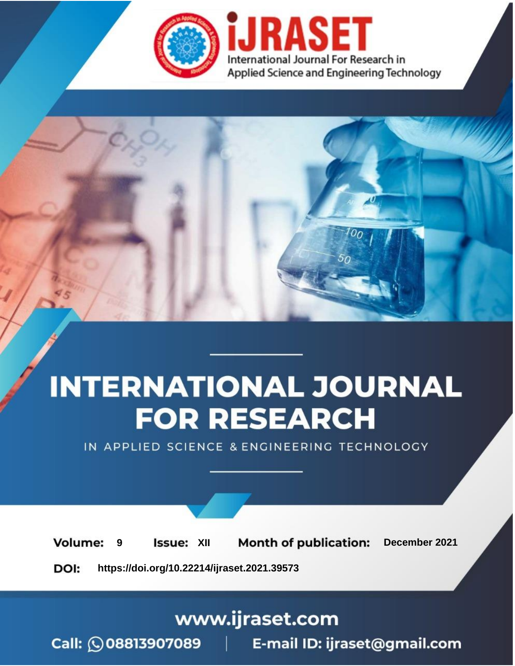

# **INTERNATIONAL JOURNAL FOR RESEARCH**

IN APPLIED SCIENCE & ENGINEERING TECHNOLOGY

**Month of publication: Volume: Issue: XII** December 2021 9 DOI: https://doi.org/10.22214/ijraset.2021.39573

www.ijraset.com

Call: 008813907089 | E-mail ID: ijraset@gmail.com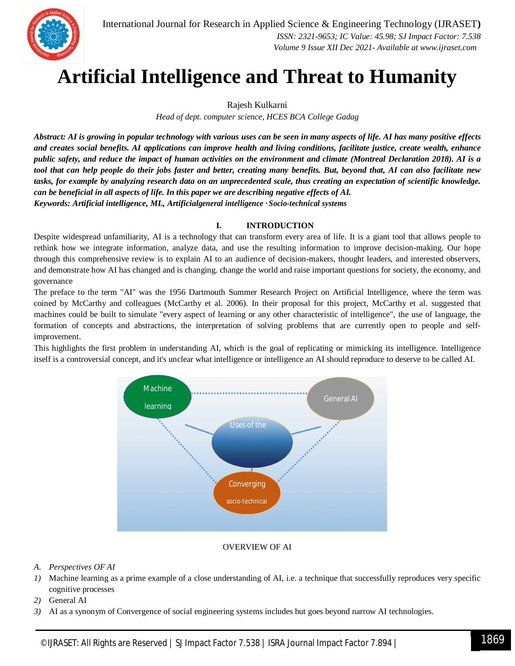

### **Artificial Intelligence and Threat to Humanity**

Rajesh Kulkarni

*Head of dept. computer science, HCES BCA College Gadag*

*Abstract: AI is growing in popular technology with various uses can be seen in many aspects of life. AI has many positive effects and creates social benefits. AI applications can improve health and living conditions, facilitate justice, create wealth, enhance public safety, and reduce the impact of human activities on the environment and climate (Montreal Declaration 2018). AI is a tool that can help people do their jobs faster and better, creating many benefits. But, beyond that, AI can also facilitate new tasks, for example by analyzing research data on an unprecedented scale, thus creating an expectation of scientific knowledge. can be beneficial in all aspects of life. In this paper we are describing negative effects of AI. Keywords: Artificial intelligence, ML, Artificialgeneral intelligence · Socio-technical systems*

#### **I. INTRODUCTION**

Despite widespread unfamiliarity, AI is a technology that can transform every area of life. It is a giant tool that allows people to rethink how we integrate information, analyze data, and use the resulting information to improve decision-making. Our hope through this comprehensive review is to explain AI to an audience of decision-makers, thought leaders, and interested observers, and demonstrate how AI has changed and is changing. change the world and raise important questions for society, the economy, and governance

The preface to the term "AI" was the 1956 Dartmouth Summer Research Project on Artificial Intelligence, where the term was coined by McCarthy and colleagues (McCarthy et al. 2006). In their proposal for this project, McCarthy et al. suggested that machines could be built to simulate "every aspect of learning or any other characteristic of intelligence", the use of language, the formation of concepts and abstractions, the interpretation of solving problems that are currently open to people and selfimprovement.

This highlights the first problem in understanding AI, which is the goal of replicating or mimicking its intelligence. Intelligence itself is a controversial concept, and it's unclear what intelligence or intelligence an AI should reproduce to deserve to be called AI.



#### OVERVIEW OF AI

#### *A. Perspectives OF AI*

- *1)* Machine learning as a prime example of a close understanding of AI, i.e. a technique that successfully reproduces very specific cognitive processes
- *2)* General AI
- *3)* AI as a synonym of Convergence of social engineering systems includes but goes beyond narrow AI technologies.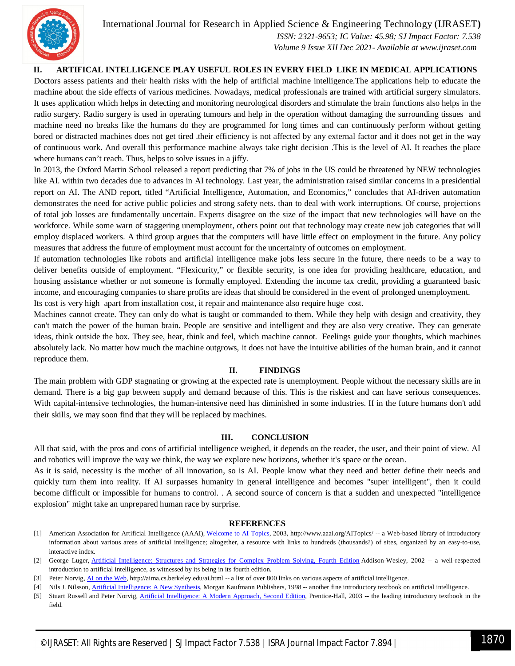International Journal for Research in Applied Science & Engineering Technology (IJRASET**)**



 *ISSN: 2321-9653; IC Value: 45.98; SJ Impact Factor: 7.538 Volume 9 Issue XII Dec 2021- Available at www.ijraset.com*

**II. ARTIFICAL INTELLIGENCE PLAY USEFUL ROLES IN EVERY FIELD LIKE IN MEDICAL APPLICATIONS**

Doctors assess patients and their health risks with the help of artificial machine intelligence.The applications help to educate the machine about the side effects of various medicines. Nowadays, medical professionals are trained with artificial surgery simulators. It uses application which helps in detecting and monitoring neurological disorders and stimulate the brain functions also helps in the radio surgery. Radio surgery is used in operating tumours and help in the operation without damaging the surrounding tissues and machine need no breaks like the humans do they are programmed for long times and can continuously perform without getting bored or distracted machines does not get tired .their efficiency is not affected by any external factor and it does not get in the way of continuous work. And overall this performance machine always take right decision .This is the level of AI. It reaches the place where humans can't reach. Thus, helps to solve issues in a jiffy.

In 2013, the Oxford Martin School released a report predicting that 7% of jobs in the US could be threatened by NEW technologies like AI. within two decades due to advances in AI technology. Last year, the administration raised similar concerns in a presidential report on AI. The AND report, titled "Artificial Intelligence, Automation, and Economics," concludes that AI-driven automation demonstrates the need for active public policies and strong safety nets. than to deal with work interruptions. Of course, projections of total job losses are fundamentally uncertain. Experts disagree on the size of the impact that new technologies will have on the workforce. While some warn of staggering unemployment, others point out that technology may create new job categories that will employ displaced workers. A third group argues that the computers will have little effect on employment in the future. Any policy measures that address the future of employment must account for the uncertainty of outcomes on employment.

If automation technologies like robots and artificial intelligence make jobs less secure in the future, there needs to be a way to deliver benefits outside of employment. "Flexicurity," or flexible security, is one idea for providing healthcare, education, and housing assistance whether or not someone is formally employed. Extending the income tax credit, providing a guaranteed basic income, and encouraging companies to share profits are ideas that should be considered in the event of prolonged unemployment. Its cost is very high apart from installation cost, it repair and maintenance also require huge cost.

Machines cannot create. They can only do what is taught or commanded to them. While they help with design and creativity, they can't match the power of the human brain. People are sensitive and intelligent and they are also very creative. They can generate ideas, think outside the box. They see, hear, think and feel, which machine cannot. Feelings guide your thoughts, which machines absolutely lack. No matter how much the machine outgrows, it does not have the intuitive abilities of the human brain, and it cannot reproduce them.

#### **II. FINDINGS**

The main problem with GDP stagnating or growing at the expected rate is unemployment. People without the necessary skills are in demand. There is a big gap between supply and demand because of this. This is the riskiest and can have serious consequences. With capital-intensive technologies, the human-intensive need has diminished in some industries. If in the future humans don't add their skills, we may soon find that they will be replaced by machines.

#### **III. CONCLUSION**

All that said, with the pros and cons of artificial intelligence weighed, it depends on the reader, the user, and their point of view. AI and robotics will improve the way we think, the way we explore new horizons, whether it's space or the ocean.

As it is said, necessity is the mother of all innovation, so is AI. People know what they need and better define their needs and quickly turn them into reality. If AI surpasses humanity in general intelligence and becomes "super intelligent", then it could become difficult or impossible for humans to control. . A second source of concern is that a sudden and unexpected "intelligence explosion" might take an unprepared human race by surprise.

#### **REFERENCES**

- [1] American Association for Artificial Intelligence (AAAI), Welcome to AI Topics, 2003, http://www.aaai.org/AITopics/ -- a Web-based library of introductory information about various areas of artificial intelligence; altogether, a resource with links to hundreds (thousands?) of sites, organized by an easy-to-use, interactive index.
- [2] George Luger, Artificial Intelligence: Structures and Strategies for Complex Problem Solving, Fourth Edition Addison-Wesley, 2002 -- a well-respected introduction to artificial intelligence, as witnessed by its being in its fourth edition.
- [3] Peter Norvig, AI on the Web, http://aima.cs.berkeley.edu/ai.html -- a list of over 800 links on various aspects of artificial intelligence.
- [4] Nils J. Nilsson, *Artificial Intelligence: A New Synthesis*, Morgan Kaufmann Publishers, 1998 -- another fine introductory textbook on artificial intelligence.
- [5] Stuart Russell and Peter Norvig, Artificial Intelligence: A Modern Approach, Second Edition, Prentice-Hall, 2003 -- the leading introductory textbook in the field.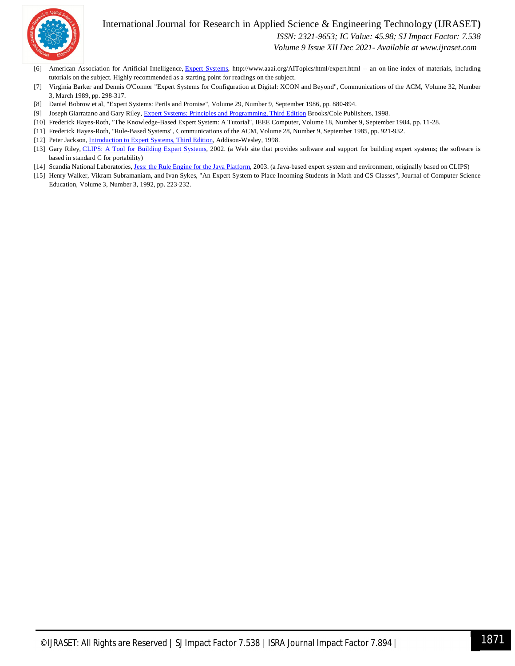

#### International Journal for Research in Applied Science & Engineering Technology (IJRASET**)**  *ISSN: 2321-9653; IC Value: 45.98; SJ Impact Factor: 7.538*

 *Volume 9 Issue XII Dec 2021- Available at www.ijraset.com*

- [6] American Association for Artificial Intelligence, Expert Systems, http://www.aaai.org/AITopics/html/expert.html -- an on-line index of materials, including tutorials on the subject. Highly recommended as a starting point for readings on the subject.
- [7] Virginia Barker and Dennis O'Connor "Expert Systems for Configuration at Digital: XCON and Beyond", Communications of the ACM, Volume 32, Number 3, March 1989, pp. 298-317.
- [8] Daniel Bobrow et al, "Expert Systems: Perils and Promise", Volume 29, Number 9, September 1986, pp. 880-894.
- [9] Joseph Giarratano and Gary Riley, Expert Systems: Principles and Programming, Third Edition Brooks/Cole Publishers, 1998.
- [10] Frederick Hayes-Roth, "The Knowledge-Based Expert System: A Tutorial", IEEE Computer, Volume 18, Number 9, September 1984, pp. 11-28.
- [11] Frederick Hayes-Roth, "Rule-Based Systems", Communications of the ACM, Volume 28, Number 9, September 1985, pp. 921-932.
- [12] Peter Jackson, *Introduction to Expert Systems*, *Third Edition*, Addison-Wesley, 1998.
- [13] Gary Riley, CLIPS: A Tool for Building Expert Systems, 2002. (a Web site that provides software and support for building expert systems; the software is based in standard C for portability)
- [14] Scandia National Laboratories, Jess: the Rule Engine for the Java Platform, 2003. (a Java-based expert system and environment, originally based on CLIPS)
- [15] Henry Walker, Vikram Subramaniam, and Ivan Sykes, "An Expert System to Place Incoming Students in Math and CS Classes", Journal of Computer Science Education, Volume 3, Number 3, 1992, pp. 223-232.